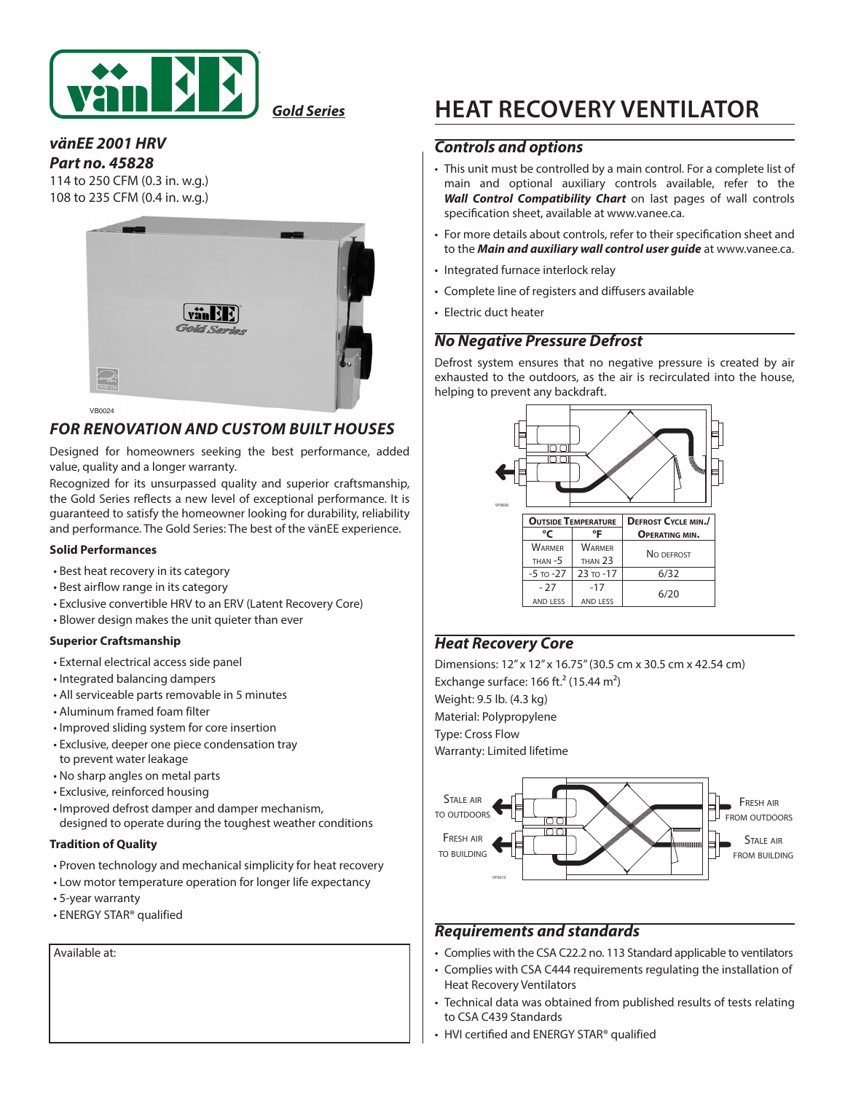

*Gold Series*

#### *vänEE 2001 HRV Part no. 45828*

114 to 250 CFM (0.3 in. w.g.) 108 to 235 CFM (0.4 in. w.g.)



## *FOR RENOVATION AND CUSTOM BUILT HOUSES*

Designed for homeowners seeking the best performance, added value, quality and a longer warranty.

Recognized for its unsurpassed quality and superior craftsmanship, the Gold Series reflects a new level of exceptional performance. It is guaranteed to satisfy the homeowner looking for durability, reliability and performance. The Gold Series: The best of the vänEE experience.

#### **Solid Performances**

- Best heat recovery in its category
- Best airflow range in its category
- Exclusive convertible HRV to an ERV (Latent Recovery Core)
- Blower design makes the unit quieter than ever

#### **Superior Craftsmanship**

- External electrical access side panel
- Integrated balancing dampers
- All serviceable parts removable in 5 minutes
- Aluminum framed foam filter
- Improved sliding system for core insertion
- Exclusive, deeper one piece condensation tray to prevent water leakage
- No sharp angles on metal parts
- Exclusive, reinforced housing
- Improved defrost damper and damper mechanism, designed to operate during the toughest weather conditions

#### **Tradition of Quality**

- Proven technology and mechanical simplicity for heat recovery
- Low motor temperature operation for longer life expectancy
- 5-year warranty
- ENERGY STAR® qualified

Available at:

# **HEAT RECOVERY VENTILATOR**

#### *Controls and options*

- This unit must be controlled by a main control. For a complete list of main and optional auxiliary controls available, refer to the *Wall Control Compatibility Chart* on last pages of wall controls specification sheet, available at www.vanee.ca.
- For more details about controls, refer to their specification sheet and to the *Main and auxiliary wall control user guide* at www.vanee.ca.
- Integrated furnace interlock relay
- Complete line of registers and diffusers available
- Electric duct heater

### *No Negative Pressure Defrost*

Defrost system ensures that no negative pressure is created by air exhausted to the outdoors, as the air is recirculated into the house, helping to prevent any backdraft.



## *Heat Recovery Core*

Dimensions: 12" x 12" x 16.75" (30.5 cm x 30.5 cm x 42.54 cm) Exchange surface: 166 ft. $2$  (15.44 m<sup>2</sup>) Weight: 9.5 lb. (4.3 kg) Material: Polypropylene Type: Cross Flow Warranty: Limited lifetime



### *Requirements and standards*

- Complies with the CSA C22.2 no. 113 Standard applicable to ventilators
- Complies with CSA C444 requirements regulating the installation of Heat Recovery Ventilators
- Technical data was obtained from published results of tests relating to CSA C439 Standards
- HVI certified and ENERGY STAR® qualified